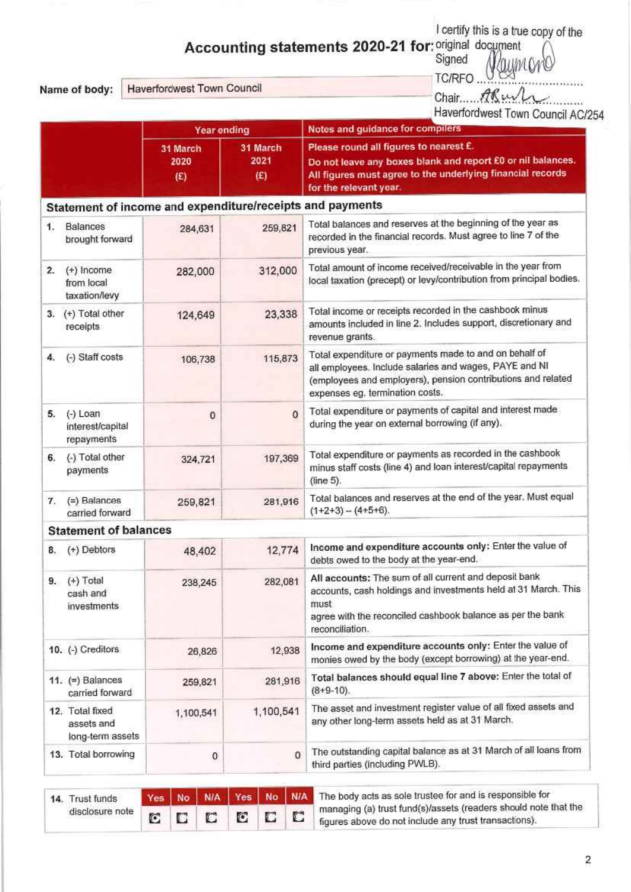**Accounting statements 2020-21 for:** original document  $\bigcap_{n=1}^{\infty}$ 

Name of body:

|                                   | A                               | Signed<br>Naymono<br><b>TC/RFO</b> |
|-----------------------------------|---------------------------------|------------------------------------|
| <b>Haverfordwest Town Council</b> |                                 | Chair ARush                        |
|                                   |                                 | Haverfordwest Town Council AC/254  |
| <b><i>Vans anding</i></b>         | Notes and mudance for compilers |                                    |

|    |                                                           | <b>Year ending</b>      |                         | Notes and guidance for compilers                                                                                                                                                                                    |  |  |  |
|----|-----------------------------------------------------------|-------------------------|-------------------------|---------------------------------------------------------------------------------------------------------------------------------------------------------------------------------------------------------------------|--|--|--|
|    |                                                           | 31 March<br>2020<br>(E) | 31 March<br>2021<br>(E) | Please round all figures to nearest £.<br>Do not leave any boxes blank and report £0 or nil balances.<br>All figures must agree to the underlying financial records<br>for the relevant year.                       |  |  |  |
|    | Statement of income and expenditure/receipts and payments |                         |                         |                                                                                                                                                                                                                     |  |  |  |
| 1. | Balances<br>brought forward                               | 284,631                 | 259,821                 | Total balances and reserves at the beginning of the year as<br>recorded in the financial records. Must agree to line 7 of the<br>previous year.                                                                     |  |  |  |
| 2. | $(+)$ Income<br>from local<br>taxation/levy               | 282,000                 | 312,000                 | Total amount of income received/receivable in the year from<br>local taxation (precept) or levy/contribution from principal bodies.                                                                                 |  |  |  |
|    | 3. (+) Total other<br>receipts                            | 124,649                 | 23,338                  | Total income or receipts recorded in the cashbook minus<br>amounts included in line 2. Includes support, discretionary and<br>revenue grants.                                                                       |  |  |  |
| 4. | (-) Staff costs                                           | 106,738                 | 115,873                 | Total expenditure or payments made to and on behalf of<br>all employees. Include salaries and wages, PAYE and NI<br>(employees and employers), pension contributions and related<br>expenses eg, termination costs. |  |  |  |
| 5. | $(-)$ Loan<br>interest/capital<br>repayments              | 0                       | $\mathbf 0$             | Total expenditure or payments of capital and interest made<br>during the year on external borrowing (if any).                                                                                                       |  |  |  |
| 6. | (-) Total other<br>payments                               | 324,721                 | 197,369                 | Total expenditure or payments as recorded in the cashbook<br>minus staff costs (line 4) and loan interest/capital repayments<br>(line 5).                                                                           |  |  |  |
| 7. | (=) Balances<br>carried forward                           | 259,821                 | 281,916                 | Total balances and reserves at the end of the year. Must equal<br>$(1+2+3) - (4+5+6)$ .                                                                                                                             |  |  |  |
|    | <b>Statement of balances</b>                              |                         |                         |                                                                                                                                                                                                                     |  |  |  |
| 8. | (+) Debtors                                               | 48,402                  | 12,774                  | Income and expenditure accounts only: Enter the value of<br>debts owed to the body at the year-end.                                                                                                                 |  |  |  |
|    | 9. (+) Total<br>cash and<br>investments                   | 238,245                 | 282,081                 | All accounts: The sum of all current and deposit bank<br>accounts, cash holdings and investments held at 31 March. This<br>must<br>agree with the reconciled cashbook balance as per the bank<br>reconciliation.    |  |  |  |
|    | 10. (-) Creditors                                         | 26,826                  | 12,938                  | Income and expenditure accounts only: Enter the value of<br>monies owed by the body (except borrowing) at the year-end.                                                                                             |  |  |  |
|    | 11. $(=)$ Balances<br>carried forward                     | 259,821                 | 281,916                 | Total balances should equal line 7 above: Enter the total of<br>$(8+9-10)$ .                                                                                                                                        |  |  |  |
|    | 12. Total fixed<br>assets and<br>long-term assets         | 1,100,541               | 1,100,541               | The asset and investment register value of all fixed assets and<br>any other long-term assets held as at 31 March.                                                                                                  |  |  |  |
|    | 13. Total borrowing                                       | 0                       | $^{\circ}$              | The outstanding capital balance as at 31 March of all loans from<br>third parties (including PWLB).                                                                                                                 |  |  |  |

| 14. Trust funds |  |  |  | Yes No. N/A Yes No. N/A The body acts as sole trustee for and is responsible for |
|-----------------|--|--|--|----------------------------------------------------------------------------------|
| disclosure note |  |  |  | managing (a) trust fund(s)/assets (readers should note that the                  |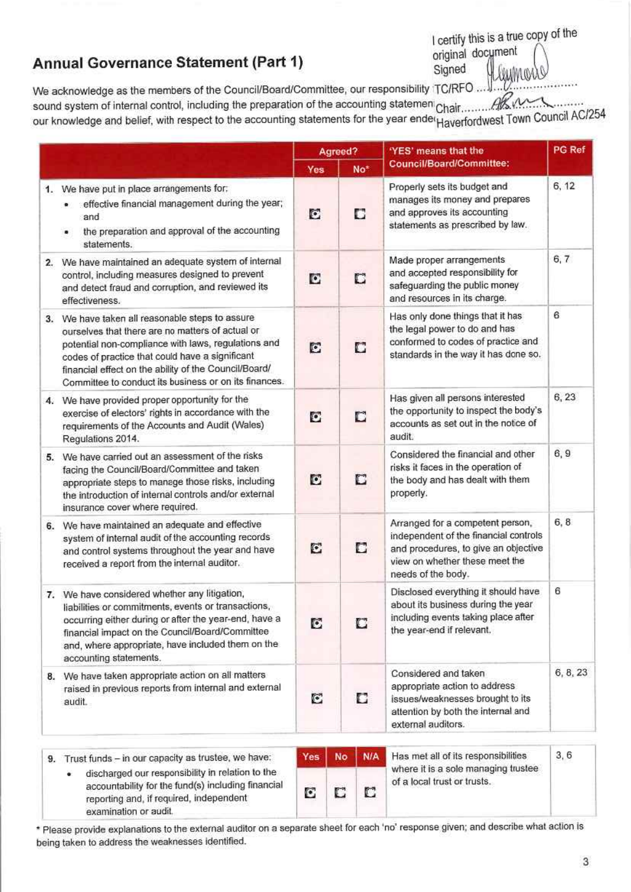# Annual Governance Statement (Part 1)

I certify this is a true copy of the original document Signed

We acknowledge as the members of the Council/Board/Committee, our responsibility TC/RFO. our knowledge and belief, with respect to the accounting statements for the year ender Haverfordwest Town Council AC/254

|                                                                                                                                                                                                                                                                                                                                 |            | Agreed?          | 'YES' means that the                                                                                                                                                      | <b>PG Ref</b> |
|---------------------------------------------------------------------------------------------------------------------------------------------------------------------------------------------------------------------------------------------------------------------------------------------------------------------------------|------------|------------------|---------------------------------------------------------------------------------------------------------------------------------------------------------------------------|---------------|
|                                                                                                                                                                                                                                                                                                                                 | Yes        | No <sup>*</sup>  | <b>Council/Board/Committee:</b>                                                                                                                                           |               |
| 1. We have put in place arrangements for:<br>effective financial management during the year;<br>and<br>the preparation and approval of the accounting<br>statements.                                                                                                                                                            | C          | Ð                | Properly sets its budget and<br>manages its money and prepares<br>and approves its accounting<br>statements as prescribed by law.                                         | 6, 12         |
| 2. We have maintained an adequate system of internal<br>control, including measures designed to prevent<br>and detect fraud and corruption, and reviewed its<br>effectiveness.                                                                                                                                                  | C          | C                | Made proper arrangements<br>and accepted responsibility for<br>safeguarding the public money<br>and resources in its charge.                                              | 6, 7          |
| 3. We have taken all reasonable steps to assure<br>ourselves that there are no matters of actual or<br>potential non-compliance with laws, regulations and<br>codes of practice that could have a significant<br>financial effect on the ability of the Council/Board/<br>Committee to conduct its business or on its finances. | C          | C                | Has only done things that it has<br>the legal power to do and has<br>conformed to codes of practice and<br>standards in the way it has done so.                           | 6             |
| 4. We have provided proper opportunity for the<br>exercise of electors' rights in accordance with the<br>requirements of the Accounts and Audit (Wales)<br>Regulations 2014.                                                                                                                                                    | C          | D                | Has given all persons interested<br>the opportunity to inspect the body's<br>accounts as set out in the notice of<br>audit.                                               | 6, 23         |
| 5. We have carried out an assessment of the risks<br>facing the Council/Board/Committee and taken<br>appropriate steps to manage those risks, including<br>the introduction of internal controls and/or external<br>insurance cover where required.                                                                             | C          | П                | Considered the financial and other<br>risks it faces in the operation of<br>the body and has dealt with them<br>properly.                                                 | 6,9           |
| 6. We have maintained an adequate and effective<br>system of internal audit of the accounting records<br>and control systems throughout the year and have<br>received a report from the internal auditor.                                                                                                                       | C          | C                | Arranged for a competent person,<br>independent of the financial controls<br>and procedures, to give an objective<br>view on whether these meet the<br>needs of the body. | 6, 8          |
| 7. We have considered whether any litigation,<br>liabilities or commitments, events or transactions,<br>occurring either during or after the year-end, have a<br>financial impact on the Council/Board/Committee<br>and, where appropriate, have included them on the<br>accounting statements.                                 | С          | C                | Disclosed everything it should have<br>about its business during the year<br>including events taking place after<br>the year-end if relevant.                             | 6             |
| 8. We have taken appropriate action on all matters<br>raised in previous reports from internal and external<br>audit.                                                                                                                                                                                                           | C          | С                | Considered and taken<br>appropriate action to address<br>issues/weaknesses brought to its<br>attention by both the internal and<br>external auditors.                     | 6, 8, 23      |
| 9. Trust funds - in our capacity as trustee, we have:<br>discharged our responsibility in relation to the                                                                                                                                                                                                                       | <b>Yes</b> | <b>N/A</b><br>No | Has met all of its responsibilities<br>where it is a sole managing trustee                                                                                                | 3, 6          |

accountability for the fund(s) including financial reporting and, if required, independent examination or audit.

| <b>No</b> | N/A | Has met all of its responsibilities                                | 3.6 |
|-----------|-----|--------------------------------------------------------------------|-----|
|           |     | where it is a sole managing trustee<br>of a local trust or trusts. |     |

\* Please provide explanations to the external auditor on a separate sheet for each 'no' response given; and describe what action is being taken to address the weaknesses identified.

C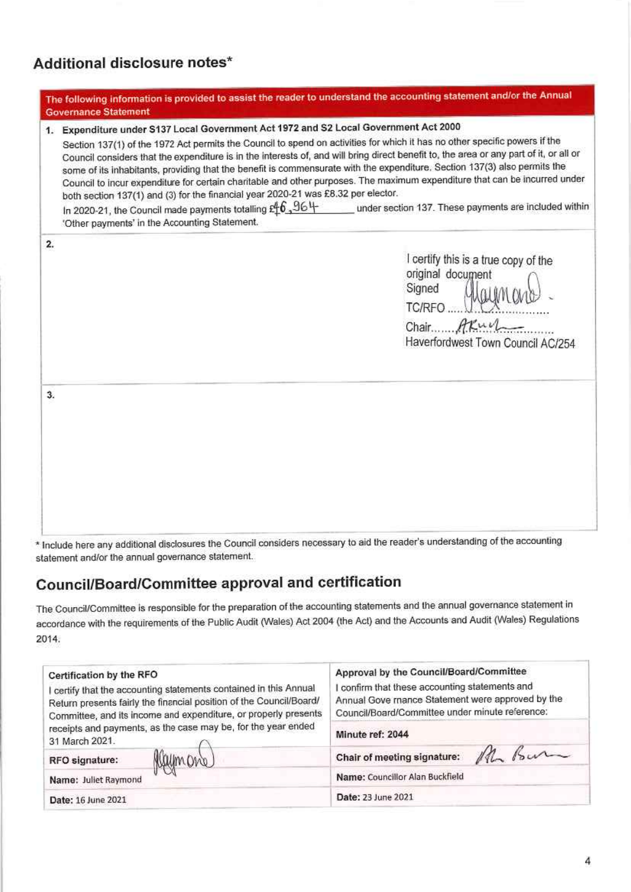## Additional disclosure notes\*

|          | The following information is provided to assist the reader to understand the accounting statement and/or the Annual<br><b>Governance Statement</b>                                                                                                                                                                                                                                                                                                                                                                                                                                                                                                                                                                                                                                                                                                                                  |
|----------|-------------------------------------------------------------------------------------------------------------------------------------------------------------------------------------------------------------------------------------------------------------------------------------------------------------------------------------------------------------------------------------------------------------------------------------------------------------------------------------------------------------------------------------------------------------------------------------------------------------------------------------------------------------------------------------------------------------------------------------------------------------------------------------------------------------------------------------------------------------------------------------|
|          | 1. Expenditure under S137 Local Government Act 1972 and S2 Local Government Act 2000<br>Section 137(1) of the 1972 Act permits the Council to spend on activities for which it has no other specific powers if the<br>Council considers that the expenditure is in the interests of, and will bring direct benefit to, the area or any part of it, or all or<br>some of its inhabitants, providing that the benefit is commensurate with the expenditure. Section 137(3) also permits the<br>Council to incur expenditure for certain charitable and other purposes. The maximum expenditure that can be incurred under<br>both section 137(1) and (3) for the financial year 2020-21 was £8.32 per elector.<br>In 2020-21, the Council made payments totalling £ $6,96+$<br>under section 137. These payments are included within<br>'Other payments' in the Accounting Statement. |
| 2.<br>3. | I certify this is a true copy of the<br>original document<br>Signed<br>TC/RFO<br>Chair Axul<br>Haverfordwest Town Council AC/254                                                                                                                                                                                                                                                                                                                                                                                                                                                                                                                                                                                                                                                                                                                                                    |
|          |                                                                                                                                                                                                                                                                                                                                                                                                                                                                                                                                                                                                                                                                                                                                                                                                                                                                                     |

\* Include here any additional disclosures the Council considers necessary to aid the reader's understanding of the accounting statement and/or the annual governance statement.

# **Council/Board/Committee approval and certification**

The Council/Committee is responsible for the preparation of the accounting statements and the annual governance statement in accordance with the requirements of the Public Audit (Wales) Act 2004 (the Act) and the Accounts and Audit (Wales) Regulations 2014.

| Certification by the RFO<br>certify that the accounting statements contained in this Annual<br>Return presents fairly the financial position of the Council/Board/<br>Committee, and its income and expenditure, or properly presents | Approval by the Council/Board/Committee<br>confirm that these accounting statements and<br>Annual Gove mance Statement were approved by the<br>Council/Board/Committee under minute reference: |  |  |  |
|---------------------------------------------------------------------------------------------------------------------------------------------------------------------------------------------------------------------------------------|------------------------------------------------------------------------------------------------------------------------------------------------------------------------------------------------|--|--|--|
| receipts and payments, as the case may be, for the year ended<br>31 March 2021.                                                                                                                                                       | Minute ref: 2044                                                                                                                                                                               |  |  |  |
| rymond<br>RFO signature:                                                                                                                                                                                                              | Chair of meeting signature: ML Bur                                                                                                                                                             |  |  |  |
| Name: Juliet Raymond                                                                                                                                                                                                                  | Name: Councillor Alan Buckfield                                                                                                                                                                |  |  |  |
| Date: 16 June 2021                                                                                                                                                                                                                    | Date: 23 June 2021                                                                                                                                                                             |  |  |  |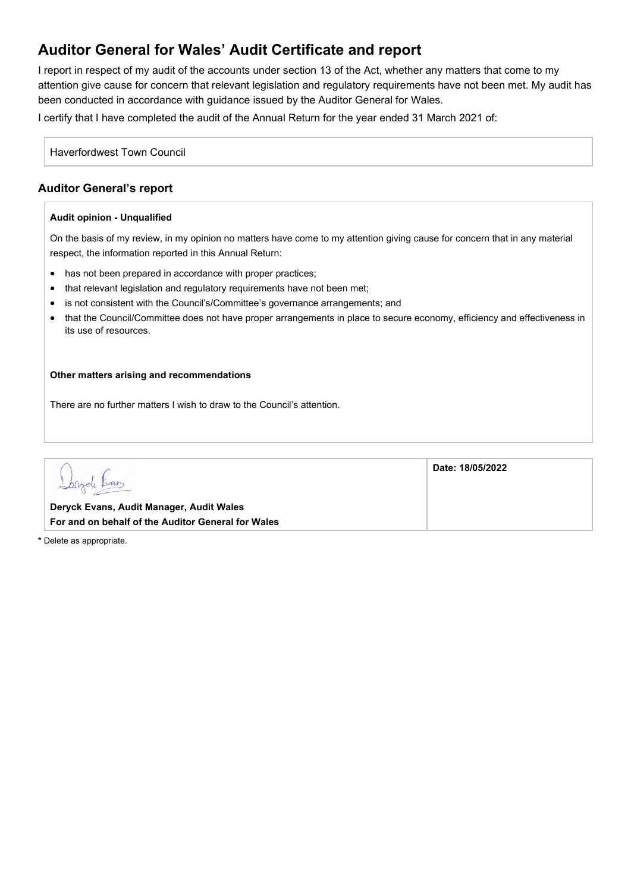## **Auditor General for Wales' Audit Certificate and report**

I report in respect of my audit of the accounts under section 13 of the Act, whether any matters that come to my attention give cause for concern that relevant legislation and regulatory requirements have not been met. My audit has been conducted in accordance with guidance issued by the Auditor General for Wales.

I certify that I have completed the audit of the Annual Return for the year ended 31 March 2021 of:

Haverfordwest Town Council

## **Auditor General's report**

#### **Audit opinion - Unqualified**

On the basis of my review, in my opinion no matters have come to my attention giving cause for concern that in any material respect, the information reported in this Annual Return:

- has not been prepared in accordance with proper practices;
- that relevant legislation and regulatory reguirements have not been met;
- is not consistent with the Council's/Committee's governance arrangements; and
- that the Council/Committee does not have proper arrangements in place to secure economy, efficiency and effectiveness in its use of resources.

#### **Other matters arising and recommendations**

There are no further matters I wish to draw to the Council's attention.

|                                                                                                | Date: 18/05/2022 |
|------------------------------------------------------------------------------------------------|------------------|
| Deryck Evans, Audit Manager, Audit Wales<br>For and on behalf of the Auditor General for Wales |                  |

**\*** Delete as appropriate.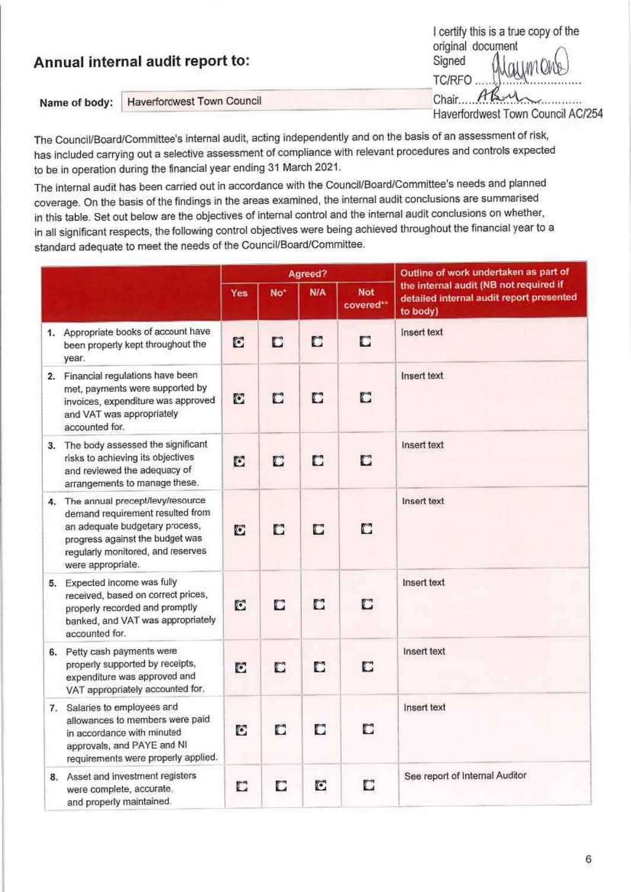|               | Annual internal audit report to:  | I certify this is a true copy of the<br>original document<br>Signed<br><i>UNCMO-</i><br><b>TC/RFO</b> |
|---------------|-----------------------------------|-------------------------------------------------------------------------------------------------------|
| Name of body: | <b>Haverfordwest Town Council</b> | Chair.                                                                                                |
|               |                                   | Haverfordwest Town Council AC/254                                                                     |

The Council/Board/Committee's internal audit, acting independently and on the basis of an assessment of risk, has included carrying out a selective assessment of compliance with relevant procedures and controls expected to be in operation during the financial year ending 31 March 2021.

The internal audit has been carried out in accordance with the Council/Board/Committee's needs and planned coverage. On the basis of the findings in the areas examined, the internal audit conclusions are summarised in this table. Set out below are the objectives of internal control and the internal audit conclusions on whether, in all significant respects, the following control objectives were being achieved throughout the financial year to a standard adequate to meet the needs of the Council/Board/Committee.

|                                                                                                                                                                                                        |     |                 | Agreed? |                         | Outline of work undertaken as part of                                                          |
|--------------------------------------------------------------------------------------------------------------------------------------------------------------------------------------------------------|-----|-----------------|---------|-------------------------|------------------------------------------------------------------------------------------------|
|                                                                                                                                                                                                        | Yes | No <sup>*</sup> | N/A     | <b>Not</b><br>covered** | the internal audit (NB not required if<br>detailed internal audit report presented<br>to body) |
| 1. Appropriate books of account have<br>been properly kept throughout the<br>year.                                                                                                                     | E   | D               | C       | C                       | Insert text                                                                                    |
| 2. Financial regulations have been<br>met, payments were supported by<br>invoices, expenditure was approved<br>and VAT was appropriately<br>accounted for.                                             | C   | C               | C       | C                       | Insert text                                                                                    |
| 3. The body assessed the significant<br>risks to achieving its objectives<br>and reviewed the adequacy of<br>arrangements to manage these.                                                             | C   | C               | п       | D                       | Insert text                                                                                    |
| 4. The annual precept/levy/resource<br>demand requirement resulted from<br>an adequate budgetary process,<br>progress against the budget was<br>regularly monitored, and reserves<br>were appropriate. | C   | C               | С       | C                       | Insert text                                                                                    |
| 5. Expected income was fully<br>received, based on correct prices,<br>properly recorded and promptly<br>banked, and VAT was appropriately<br>accounted for.                                            | C   | C               | C       | C                       | Insert text                                                                                    |
| 6. Petty cash payments were<br>properly supported by receipts,<br>expenditure was approved and<br>VAT appropriately accounted for.                                                                     | C   | C               | D       | C                       | Insert text                                                                                    |
| 7. Salaries to employees and<br>allowances to members were paid<br>in accordance with minuted<br>approvals, and PAYE and NI<br>requirements were properly applied.                                     | G   | n               | С       | n                       | Insert text                                                                                    |
| 8. Asset and investment registers<br>were complete, accurate,<br>and properly maintained.                                                                                                              | C   | C               | C       | C                       | See report of Internal Auditor                                                                 |